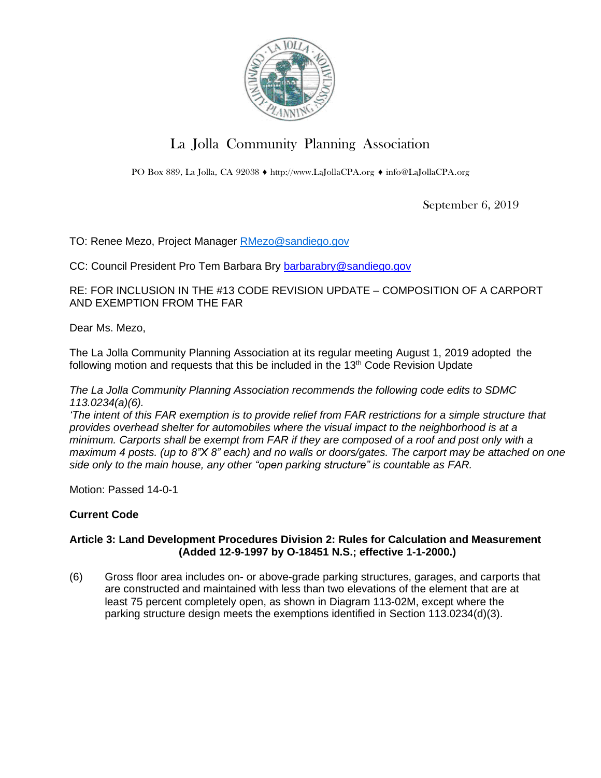

# La Jolla Community Planning Association

PO Box 889, La Jolla, CA 92038 ♦ [http://www.LaJollaCPA.org](http://www.lajollacpa.org/) ♦ [info@LaJollaCPA.org](mailto:info@LaJollaCPA.org)

September 6, 2019

TO: Renee Mezo, Project Manager [RMezo@sandiego.gov](mailto:RMezo@sandiego.gov)

CC: Council President Pro Tem Barbara Bry [barbarabry@sandiego.gov](mailto:barbarabry@sandiego.gov)

RE: FOR INCLUSION IN THE #13 CODE REVISION UPDATE – COMPOSITION OF A CARPORT AND EXEMPTION FROM THE FAR

Dear Ms. Mezo,

The La Jolla Community Planning Association at its regular meeting August 1, 2019 adopted the following motion and requests that this be included in the 13<sup>th</sup> Code Revision Update

*The La Jolla Community Planning Association recommends the following code edits to SDMC 113.0234(a)(6).*

The intent of this FAR exemption is to provide relief from FAR restrictions for a simple structure that *provides overhead shelter for automobiles where the visual impact to the neighborhood is at a* minimum. Carports shall be exempt from FAR if they are composed of a roof and post only with a maximum 4 posts. (up to 8"X 8" each) and no walls or doors/gates. The carport may be attached on one *side only to the main house, any other "open parking structure" is countable as FAR.*

Motion: Passed 14-0-1

## **Current Code**

### **Article 3: Land Development Procedures Division 2: Rules for Calculation and Measurement (Added 12-9-1997 by O-18451 N.S.; effective 1-1-2000.)**

(6) Gross floor area includes on- or above-grade parking structures, garages, and carports that are constructed and maintained with less than two elevations of the element that are at least 75 percent completely open, as shown in Diagram 113-02M, except where the parking structure design meets the exemptions identified in Section 113.0234(d)(3).